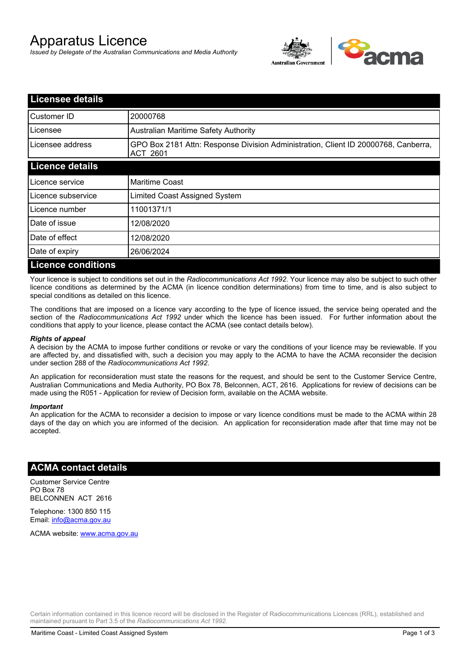# Apparatus Licence

*Issued by Delegate of the Australian Communications and Media Authority*



| <b>Licensee details</b>   |                                                                                                       |
|---------------------------|-------------------------------------------------------------------------------------------------------|
| Customer ID               | 20000768                                                                                              |
| Licensee                  | <b>Australian Maritime Safety Authority</b>                                                           |
| Licensee address          | GPO Box 2181 Attn: Response Division Administration, Client ID 20000768, Canberra,<br><b>ACT 2601</b> |
| <b>Licence details</b>    |                                                                                                       |
| Licence service           | <b>Maritime Coast</b>                                                                                 |
| Licence subservice        | Limited Coast Assigned System                                                                         |
| Licence number            | 11001371/1                                                                                            |
| Date of issue             | 12/08/2020                                                                                            |
| Date of effect            | 12/08/2020                                                                                            |
| Date of expiry            | 26/06/2024                                                                                            |
| <b>Licence conditions</b> |                                                                                                       |

Your licence is subject to conditions set out in the *Radiocommunications Act 1992*. Your licence may also be subject to such other licence conditions as determined by the ACMA (in licence condition determinations) from time to time, and is also subject to special conditions as detailed on this licence.

The conditions that are imposed on a licence vary according to the type of licence issued, the service being operated and the section of the *Radiocommunications Act 1992* under which the licence has been issued. For further information about the conditions that apply to your licence, please contact the ACMA (see contact details below).

### *Rights of appeal*

A decision by the ACMA to impose further conditions or revoke or vary the conditions of your licence may be reviewable. If you are affected by, and dissatisfied with, such a decision you may apply to the ACMA to have the ACMA reconsider the decision under section 288 of the *Radiocommunications Act 1992*.

An application for reconsideration must state the reasons for the request, and should be sent to the Customer Service Centre, Australian Communications and Media Authority, PO Box 78, Belconnen, ACT, 2616. Applications for review of decisions can be made using the R051 - Application for review of Decision form, available on the ACMA website.

#### *Important*

An application for the ACMA to reconsider a decision to impose or vary licence conditions must be made to the ACMA within 28 days of the day on which you are informed of the decision. An application for reconsideration made after that time may not be accepted.

### **ACMA contact details**

Customer Service Centre PO Box 78 BELCONNEN ACT 2616

Telephone: 1300 850 115 Email: info@acma.gov.au

ACMA website: www.acma.gov.au

Certain information contained in this licence record will be disclosed in the Register of Radiocommunications Licences (RRL), established and maintained pursuant to Part 3.5 of the *Radiocommunications Act 1992.*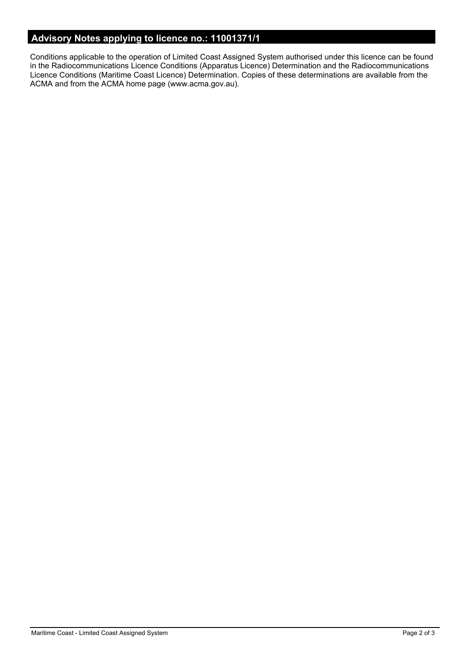# **Advisory Notes applying to licence no.: 11001371/1**

Conditions applicable to the operation of Limited Coast Assigned System authorised under this licence can be found in the Radiocommunications Licence Conditions (Apparatus Licence) Determination and the Radiocommunications Licence Conditions (Maritime Coast Licence) Determination. Copies of these determinations are available from the ACMA and from the ACMA home page (www.acma.gov.au).